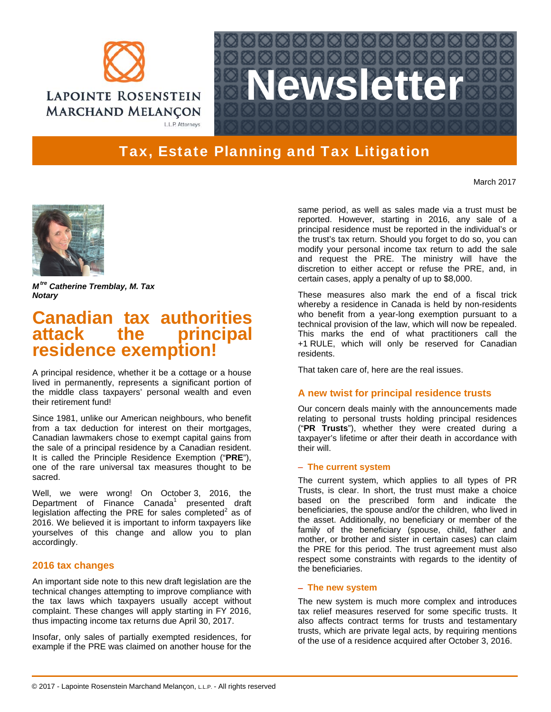



# Tax, Estate Planning and Tax Litigation

March 2017



*M tre Catherine Tremblay, M. Tax Notary* 

# **Canadian tax authorities**  attack the **residence exemption!**

A principal residence, whether it be a cottage or a house lived in permanently, represents a significant portion of the middle class taxpayers' personal wealth and even their retirement fund!

Since 1981, unlike our American neighbours, who benefit from a tax deduction for interest on their mortgages, Canadian lawmakers chose to exempt capital gains from the sale of a principal residence by a Canadian resident. It is called the Principle Residence Exemption ("**PRE**"), one of the rare universal tax measures thought to be sacred.

Well, we were wrong! On October 3, 2016, the Department of Finance Canada<sup>1</sup> presented draft legislation affecting the PRE for sales completed<sup>2</sup> as of 2016. We believed it is important to inform taxpayers like yourselves of this change and allow you to plan accordingly.

## **2016 tax changes**

An important side note to this new draft legislation are the technical changes attempting to improve compliance with the tax laws which taxpayers usually accept without complaint. These changes will apply starting in FY 2016, thus impacting income tax returns due April 30, 2017.

Insofar, only sales of partially exempted residences, for example if the PRE was claimed on another house for the

same period, as well as sales made via a trust must be reported. However, starting in 2016, any sale of a principal residence must be reported in the individual's or the trust's tax return. Should you forget to do so, you can modify your personal income tax return to add the sale and request the PRE. The ministry will have the discretion to either accept or refuse the PRE, and, in certain cases, apply a penalty of up to \$8,000.

These measures also mark the end of a fiscal trick whereby a residence in Canada is held by non-residents who benefit from a year-long exemption pursuant to a technical provision of the law, which will now be repealed. This marks the end of what practitioners call the +1 RULE, which will only be reserved for Canadian residents.

That taken care of, here are the real issues.

## **A new twist for principal residence trusts**

Our concern deals mainly with the announcements made relating to personal trusts holding principal residences ("**PR Trusts**"), whether they were created during a taxpayer's lifetime or after their death in accordance with their will.

#### **The current system**

The current system, which applies to all types of PR Trusts, is clear. In short, the trust must make a choice based on the prescribed form and indicate the beneficiaries, the spouse and/or the children, who lived in the asset. Additionally, no beneficiary or member of the family of the beneficiary (spouse, child, father and mother, or brother and sister in certain cases) can claim the PRE for this period. The trust agreement must also respect some constraints with regards to the identity of the beneficiaries.

### **The new system**

The new system is much more complex and introduces tax relief measures reserved for some specific trusts. It also affects contract terms for trusts and testamentary trusts, which are private legal acts, by requiring mentions of the use of a residence acquired after October 3, 2016.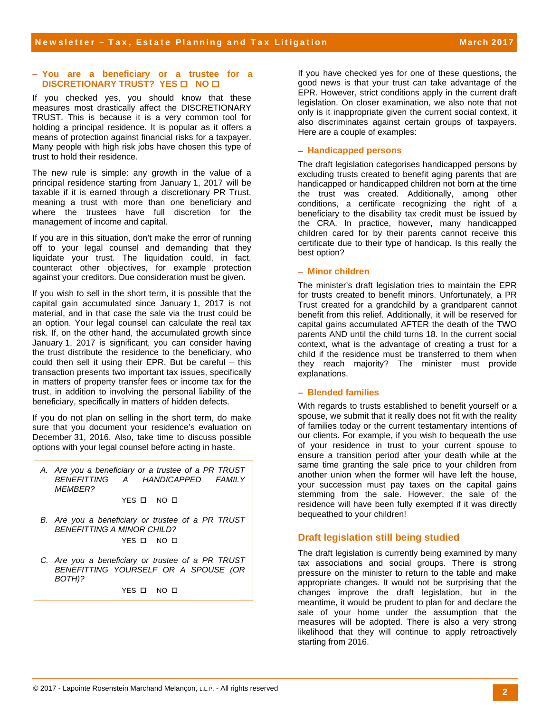#### **You are a beneficiary or a trustee for a DISCRETIONARY TRUST? YES ON NO O**

If you checked yes, you should know that these measures most drastically affect the DISCRETIONARY TRUST. This is because it is a very common tool for holding a principal residence. It is popular as it offers a means of protection against financial risks for a taxpayer. Many people with high risk jobs have chosen this type of trust to hold their residence.

The new rule is simple: any growth in the value of a principal residence starting from January 1, 2017 will be taxable if it is earned through a discretionary PR Trust, meaning a trust with more than one beneficiary and where the trustees have full discretion for the management of income and capital.

If you are in this situation, don't make the error of running off to your legal counsel and demanding that they liquidate your trust. The liquidation could, in fact, counteract other objectives, for example protection against your creditors. Due consideration must be given.

If you wish to sell in the short term, it is possible that the capital gain accumulated since January 1, 2017 is not material, and in that case the sale via the trust could be an option. Your legal counsel can calculate the real tax risk. If, on the other hand, the accumulated growth since January 1, 2017 is significant, you can consider having the trust distribute the residence to the beneficiary, who could then sell it using their EPR. But be careful – this transaction presents two important tax issues, specifically in matters of property transfer fees or income tax for the trust, in addition to involving the personal liability of the beneficiary, specifically in matters of hidden defects.

If you do not plan on selling in the short term, do make sure that you document your residence's evaluation on December 31, 2016. Also, take time to discuss possible options with your legal counsel before acting in haste.

*A. Are you a beneficiary or a trustee of a PR TRUST BENEFITTING A HANDICAPPED FAMILY MEMBER?* 

YES O NO O

- *B. Are you a beneficiary or trustee of a PR TRUST BENEFITTING A MINOR CHILD?*  YES O NO O
- *C. Are you a beneficiary or trustee of a PR TRUST BENEFITTING YOURSELF OR A SPOUSE (OR BOTH)?*

YES O NO O

If you have checked yes for one of these questions, the good news is that your trust can take advantage of the EPR. However, strict conditions apply in the current draft legislation. On closer examination, we also note that not only is it inappropriate given the current social context, it also discriminates against certain groups of taxpayers. Here are a couple of examples:

#### **Handicapped persons**

The draft legislation categorises handicapped persons by excluding trusts created to benefit aging parents that are handicapped or handicapped children not born at the time the trust was created. Additionally, among other conditions, a certificate recognizing the right of a beneficiary to the disability tax credit must be issued by the CRA. In practice, however, many handicapped children cared for by their parents cannot receive this certificate due to their type of handicap. Is this really the best option?

### **Minor children**

The minister's draft legislation tries to maintain the EPR for trusts created to benefit minors. Unfortunately, a PR Trust created for a grandchild by a grandparent cannot benefit from this relief. Additionally, it will be reserved for capital gains accumulated AFTER the death of the TWO parents AND until the child turns 18. In the current social context, what is the advantage of creating a trust for a child if the residence must be transferred to them when they reach majority? The minister must provide explanations.

#### **Blended families**

With regards to trusts established to benefit yourself or a spouse, we submit that it really does not fit with the reality of families today or the current testamentary intentions of our clients. For example, if you wish to bequeath the use of your residence in trust to your current spouse to ensure a transition period after your death while at the same time granting the sale price to your children from another union when the former will have left the house, your succession must pay taxes on the capital gains stemming from the sale. However, the sale of the residence will have been fully exempted if it was directly bequeathed to your children!

## **Draft legislation still being studied**

The draft legislation is currently being examined by many tax associations and social groups. There is strong pressure on the minister to return to the table and make appropriate changes. It would not be surprising that the changes improve the draft legislation, but in the meantime, it would be prudent to plan for and declare the sale of your home under the assumption that the measures will be adopted. There is also a very strong likelihood that they will continue to apply retroactively starting from 2016.